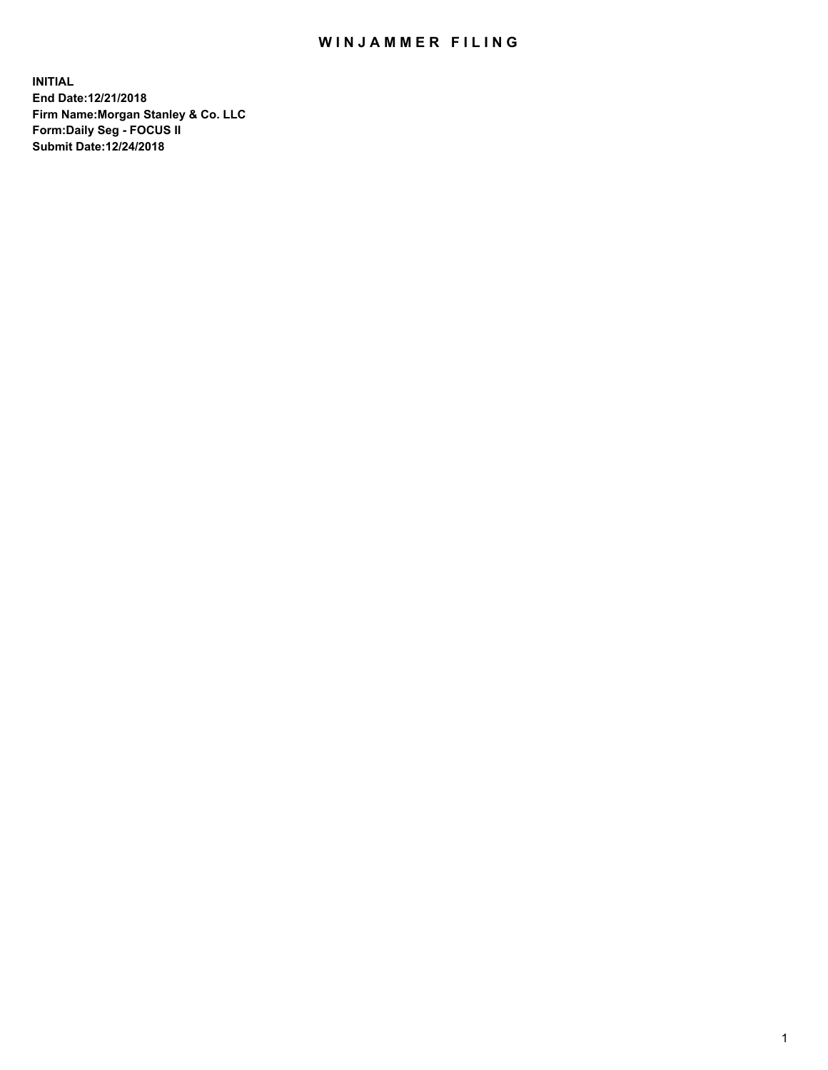## WIN JAMMER FILING

**INITIAL End Date:12/21/2018 Firm Name:Morgan Stanley & Co. LLC Form:Daily Seg - FOCUS II Submit Date:12/24/2018**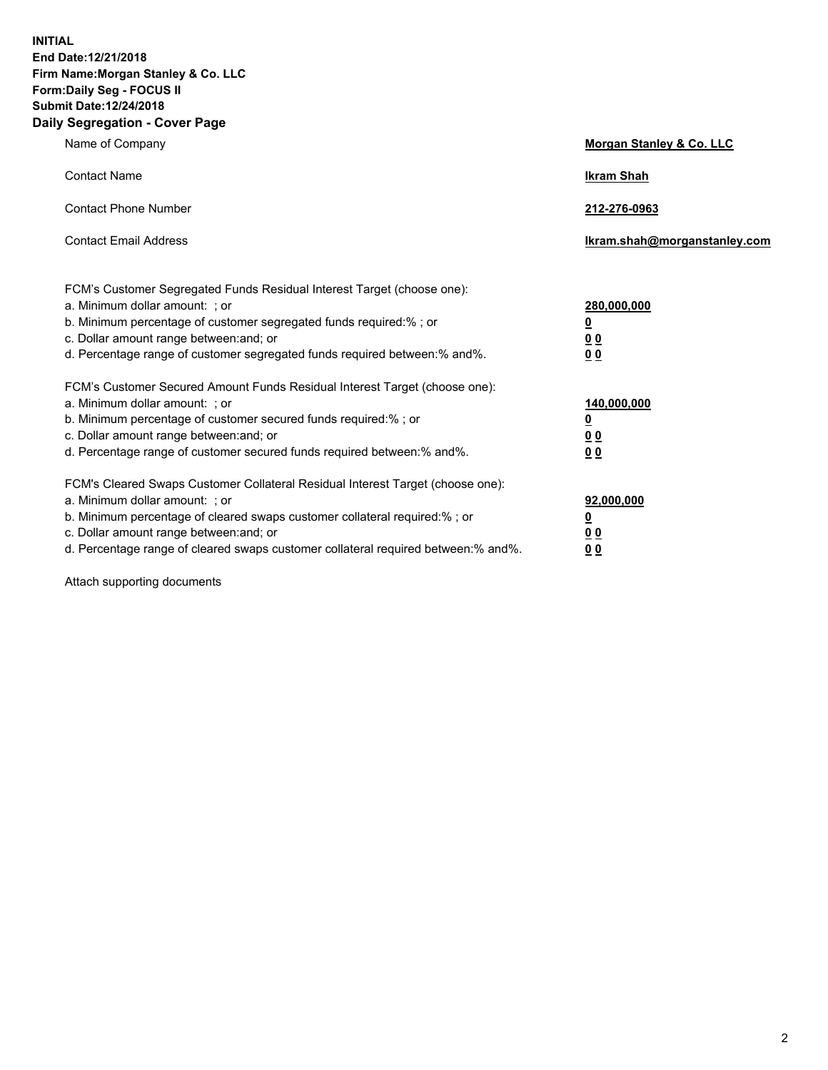**INITIAL End Date:12/21/2018 Firm Name:Morgan Stanley & Co. LLC Form:Daily Seg - FOCUS II Submit Date:12/24/2018 Daily Segregation - Cover Page**

| Name of Company                                                                                                        | Morgan Stanley & Co. LLC     |
|------------------------------------------------------------------------------------------------------------------------|------------------------------|
| <b>Contact Name</b>                                                                                                    | <b>Ikram Shah</b>            |
| <b>Contact Phone Number</b>                                                                                            | 212-276-0963                 |
| <b>Contact Email Address</b>                                                                                           | Ikram.shah@morganstanley.com |
| FCM's Customer Segregated Funds Residual Interest Target (choose one):                                                 |                              |
| a. Minimum dollar amount: ; or                                                                                         | 280,000,000                  |
| b. Minimum percentage of customer segregated funds required:% ; or                                                     | <u>0</u>                     |
| c. Dollar amount range between: and; or<br>d. Percentage range of customer segregated funds required between: % and %. | <u>0 0</u><br>0 Q            |
| FCM's Customer Secured Amount Funds Residual Interest Target (choose one):                                             |                              |
| a. Minimum dollar amount: ; or                                                                                         | 140,000,000                  |
| b. Minimum percentage of customer secured funds required:%; or                                                         | <u>0</u>                     |
| c. Dollar amount range between: and; or                                                                                | 0 <sub>0</sub>               |
| d. Percentage range of customer secured funds required between:% and%.                                                 | 0 <sub>0</sub>               |
| FCM's Cleared Swaps Customer Collateral Residual Interest Target (choose one):                                         |                              |
| a. Minimum dollar amount: ; or                                                                                         | 92,000,000                   |
| b. Minimum percentage of cleared swaps customer collateral required:% ; or                                             | <u>0</u>                     |
| c. Dollar amount range between: and; or                                                                                | 0 Q                          |
| d. Percentage range of cleared swaps customer collateral required between:% and%.                                      | 00                           |

Attach supporting documents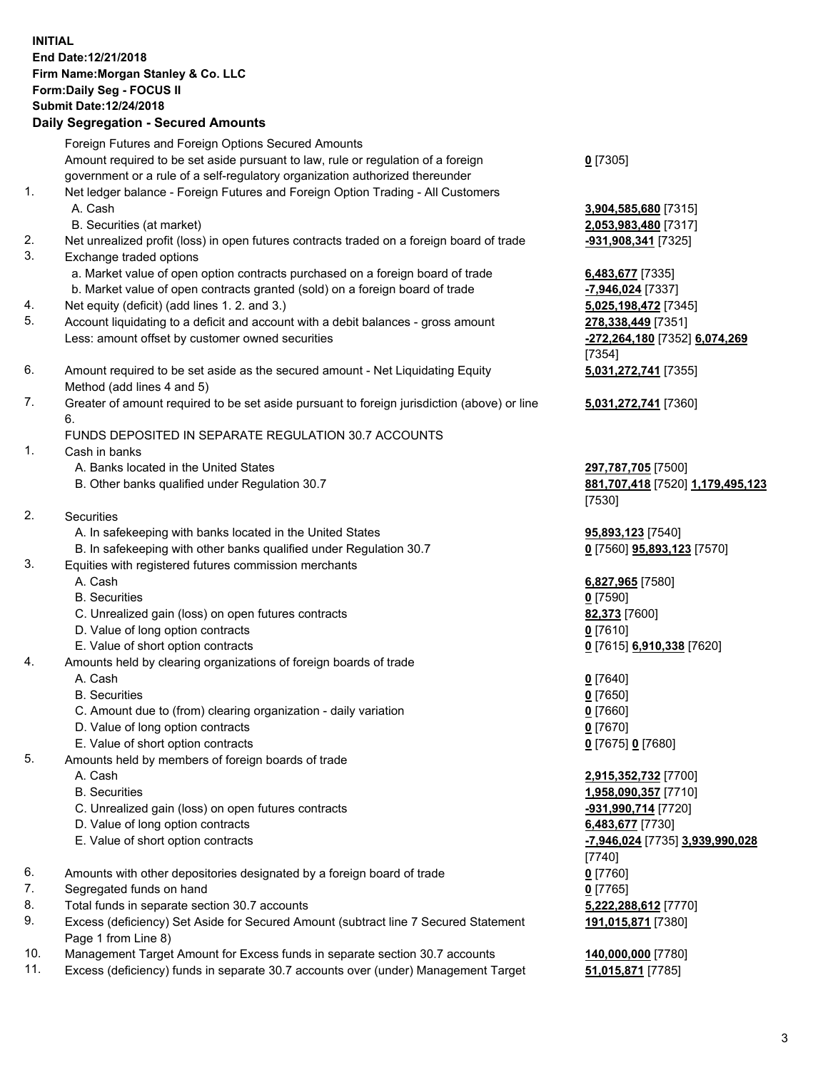## **INITIAL End Date:12/21/2018 Firm Name:Morgan Stanley & Co. LLC Form:Daily Seg - FOCUS II Submit Date:12/24/2018**

## **Daily Segregation - Secured Amounts**

Foreign Futures and Foreign Options Secured Amounts Amount required to be set aside pursuant to law, rule or regulation of a foreign government or a rule of a self-regulatory organization authorized thereunder 1. Net ledger balance - Foreign Futures and Foreign Option Trading - All Customers A. Cash **3,904,585,680** [7315] B. Securities (at market) **2,053,983,480** [7317] 2. Net unrealized profit (loss) in open futures contracts traded on a foreign board of trade **-931,908,341** [7325] 3. Exchange traded options a. Market value of open option contracts purchased on a foreign board of trade **6,483,677** [7335] b. Market value of open contracts granted (sold) on a foreign board of trade **-7,946,024** [7337] 4. Net equity (deficit) (add lines 1. 2. and 3.) **5,025,198,472** [7345]

- 5. Account liquidating to a deficit and account with a debit balances gross amount **278,338,449** [7351] Less: amount offset by customer owned securities **-272,264,180** [7352] **6,074,269**
- 6. Amount required to be set aside as the secured amount Net Liquidating Equity Method (add lines 4 and 5)
- 7. Greater of amount required to be set aside pursuant to foreign jurisdiction (above) or line 6.

## FUNDS DEPOSITED IN SEPARATE REGULATION 30.7 ACCOUNTS

- 1. Cash in banks
	- A. Banks located in the United States **297,787,705** [7500]
	- B. Other banks qualified under Regulation 30.7 **881,707,418** [7520] **1,179,495,123**
- 2. Securities
	- A. In safekeeping with banks located in the United States **95,893,123** [7540]
	- B. In safekeeping with other banks qualified under Regulation 30.7 **0** [7560] **95,893,123** [7570]
- 3. Equities with registered futures commission merchants
	-
	- B. Securities **0** [7590]
	- C. Unrealized gain (loss) on open futures contracts **82,373** [7600]
	- D. Value of long option contracts **0** [7610]
- E. Value of short option contracts **0** [7615] **6,910,338** [7620]
- 4. Amounts held by clearing organizations of foreign boards of trade
	- A. Cash **0** [7640]
	- B. Securities **0** [7650]
	- C. Amount due to (from) clearing organization daily variation **0** [7660]
	- D. Value of long option contracts **0** [7670]
	- E. Value of short option contracts **0** [7675] **0** [7680]
- 5. Amounts held by members of foreign boards of trade
	-
	-
	- C. Unrealized gain (loss) on open futures contracts **-931,990,714** [7720]
	- D. Value of long option contracts **6,483,677** [7730]
	- E. Value of short option contracts **-7,946,024** [7735] **3,939,990,028**
- 6. Amounts with other depositories designated by a foreign board of trade **0** [7760]
- 7. Segregated funds on hand **0** [7765]
- 8. Total funds in separate section 30.7 accounts **5,222,288,612** [7770]
- 9. Excess (deficiency) Set Aside for Secured Amount (subtract line 7 Secured Statement Page 1 from Line 8)
- 10. Management Target Amount for Excess funds in separate section 30.7 accounts **140,000,000** [7780]
- 11. Excess (deficiency) funds in separate 30.7 accounts over (under) Management Target **51,015,871** [7785]

**0** [7305]

[7354] **5,031,272,741** [7355]

**5,031,272,741** [7360]

[7530]

A. Cash **6,827,965** [7580]

 A. Cash **2,915,352,732** [7700] B. Securities **1,958,090,357** [7710] [7740] **191,015,871** [7380]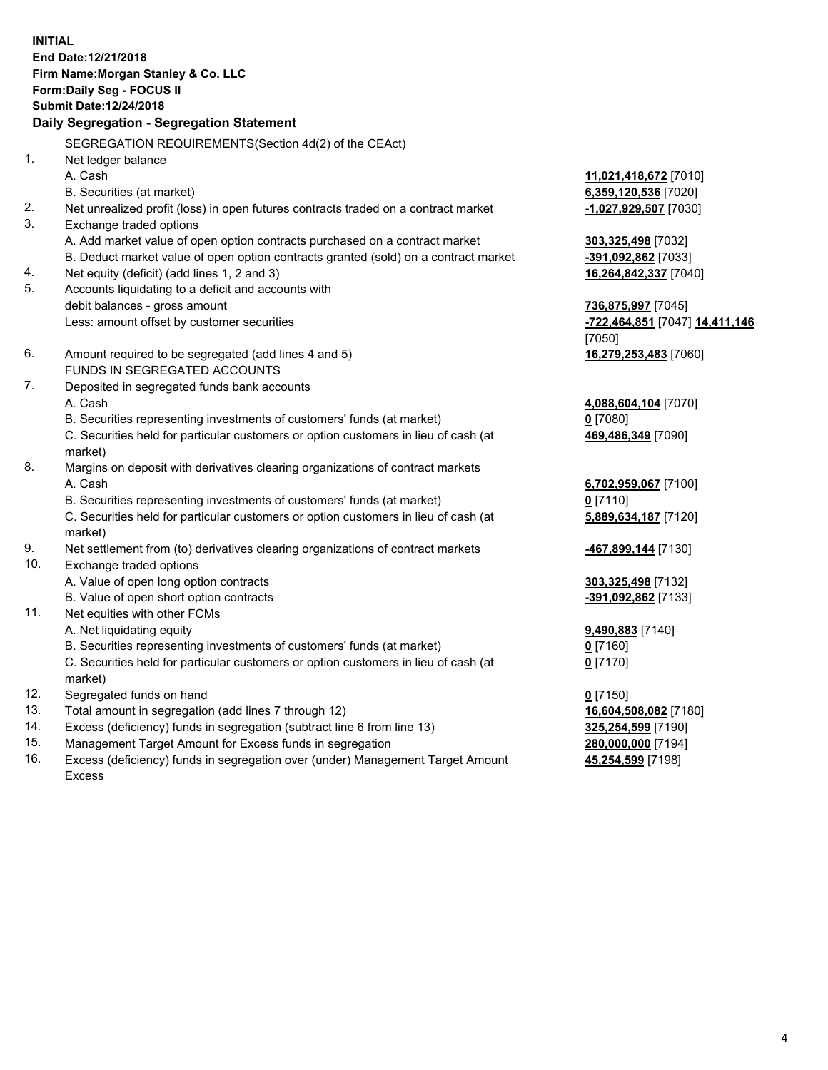**INITIAL End Date:12/21/2018 Firm Name:Morgan Stanley & Co. LLC Form:Daily Seg - FOCUS II Submit Date:12/24/2018 Daily Segregation - Segregation Statement** SEGREGATION REQUIREMENTS(Section 4d(2) of the CEAct) 1. Net ledger balance A. Cash **11,021,418,672** [7010] B. Securities (at market) **6,359,120,536** [7020] 2. Net unrealized profit (loss) in open futures contracts traded on a contract market **-1,027,929,507** [7030] 3. Exchange traded options A. Add market value of open option contracts purchased on a contract market **303,325,498** [7032] B. Deduct market value of open option contracts granted (sold) on a contract market **-391,092,862** [7033] 4. Net equity (deficit) (add lines 1, 2 and 3) **16,264,842,337** [7040] 5. Accounts liquidating to a deficit and accounts with debit balances - gross amount **736,875,997** [7045] Less: amount offset by customer securities **-722,464,851** [7047] **14,411,146** [7050] 6. Amount required to be segregated (add lines 4 and 5) **16,279,253,483** [7060] FUNDS IN SEGREGATED ACCOUNTS 7. Deposited in segregated funds bank accounts A. Cash **4,088,604,104** [7070] B. Securities representing investments of customers' funds (at market) **0** [7080] C. Securities held for particular customers or option customers in lieu of cash (at market) **469,486,349** [7090] 8. Margins on deposit with derivatives clearing organizations of contract markets A. Cash **6,702,959,067** [7100] B. Securities representing investments of customers' funds (at market) **0** [7110] C. Securities held for particular customers or option customers in lieu of cash (at market) **5,889,634,187** [7120] 9. Net settlement from (to) derivatives clearing organizations of contract markets **-467,899,144** [7130] 10. Exchange traded options A. Value of open long option contracts **303,325,498** [7132] B. Value of open short option contracts **-391,092,862** [7133] 11. Net equities with other FCMs A. Net liquidating equity **9,490,883** [7140] B. Securities representing investments of customers' funds (at market) **0** [7160] C. Securities held for particular customers or option customers in lieu of cash (at market) **0** [7170] 12. Segregated funds on hand **0** [7150] 13. Total amount in segregation (add lines 7 through 12) **16,604,508,082** [7180] 14. Excess (deficiency) funds in segregation (subtract line 6 from line 13) **325,254,599** [7190]

- 15. Management Target Amount for Excess funds in segregation **280,000,000** [7194]
- 16. Excess (deficiency) funds in segregation over (under) Management Target Amount Excess

**45,254,599** [7198]